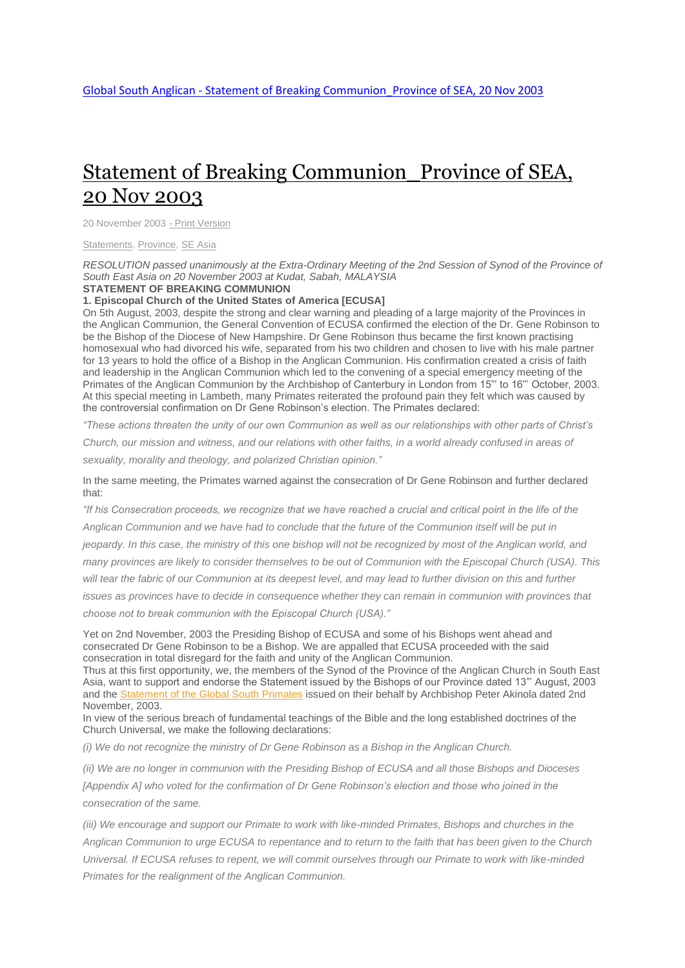## Statement of Breaking [Communion\\_Province](http://www.globalsouthanglican.org/index.php/blog/comments/statement_of_breaking_communion_province_of_sea_20_nov_2003) of SEA, 20 Nov [2003](http://www.globalsouthanglican.org/index.php/blog/comments/statement_of_breaking_communion_province_of_sea_20_nov_2003)

20 November 2003 - Print [Version](http://globalsouthanglican.org/index.php/blog/printing/statement_of_breaking_communion_province_of_sea_20_nov_2003)

[Statements,](http://globalsouthanglican.org/index.php/archives/category/statements) [Province,](http://globalsouthanglican.org/index.php/archives/category/province) SE [Asia](http://globalsouthanglican.org/index.php/archives/category/se_asia)

RESOLUTION passed unanimously at the Extra-Ordinary Meeting of the 2nd Session of Synod of the Province of *South East Asia on 20 November 2003 at Kudat, Sabah, MALAYSIA*

## **STATEMENT OF BREAKING COMMUNION**

**1. Episcopal Church of the United States of America [ECUSA]**

On 5th August, 2003, despite the strong and clear warning and pleading of a large majority of the Provinces in the Anglican Communion, the General Convention of ECUSA confirmed the election of the Dr. Gene Robinson to be the Bishop of the Diocese of New Hampshire. Dr Gene Robinson thus became the first known practising homosexual who had divorced his wife, separated from his two children and chosen to live with his male partner for 13 years to hold the office of a Bishop in the Anglican Communion. His confirmation created a crisis of faith and leadership in the Anglican Communion which led to the convening of a special emergency meeting of the Primates of the Anglican Communion by the Archbishop of Canterbury in London from 15"' to 16"' October, 2003. At this special meeting in Lambeth, many Primates reiterated the profound pain they felt which was caused by the controversial confirmation on Dr Gene Robinson's election. The Primates declared:

*"These actions threaten the unity of our own Communion as well as our relationships with other parts of Christ's* 

*Church, our mission and witness, and our relations with other faiths, in a world already confused in areas of sexuality, morality and theology, and polarized Christian opinion."*

In the same meeting, the Primates warned against the consecration of Dr Gene Robinson and further declared that:

*"If his Consecration proceeds, we recognize that we have reached a crucial and critical point in the life of the Anglican Communion and we have had to conclude that the future of the Communion itself will be put in jeopardy. In this case, the ministry of this one bishop will not be recognized by most of the Anglican world, and many provinces are likely to consider themselves to be out of Communion with the Episcopal Church (USA). This will tear the fabric of our Communion at its deepest level, and may lead to further division on this and further issues as provinces have to decide in consequence whether they can remain in communion with provinces that choose not to break communion with the Episcopal Church (USA)."*

Yet on 2nd November, 2003 the Presiding Bishop of ECUSA and some of his Bishops went ahead and consecrated Dr Gene Robinson to be a Bishop. We are appalled that ECUSA proceeded with the said consecration in total disregard for the faith and unity of the Anglican Communion.

Thus at this first opportunity, we, the members of the Synod of the Province of the Anglican Church in South East Asia, want to support and endorse the Statement issued by the Bishops of our Province dated 13"' August, 2003 and the [Statement](http://www.globalsouthanglican.org/index.php/covenant/comments/statement_of_the_primates_global_south_2_nov_2003/) of the Global South Primates issued on their behalf by Archbishop Peter Akinola dated 2nd November, 2003.

In view of the serious breach of fundamental teachings of the Bible and the long established doctrines of the Church Universal, we make the following declarations:

*(i) We do not recognize the ministry of Dr Gene Robinson as a Bishop in the Anglican Church.*

*(ii) We are no longer in communion with the Presiding Bishop of ECUSA and all those Bishops and Dioceses*  [Appendix A] who voted for the confirmation of Dr Gene Robinson's election and those who joined in the *consecration of the same.*

*(iii) We encourage and support our Primate to work with like-minded Primates, Bishops and churches in the Anglican Communion to urge ECUSA to repentance and to return to the faith that has been given to the Church Universal. If ECUSA refuses to repent, we will commit ourselves through our Primate to work with like-minded Primates for the realignment of the Anglican Communion.*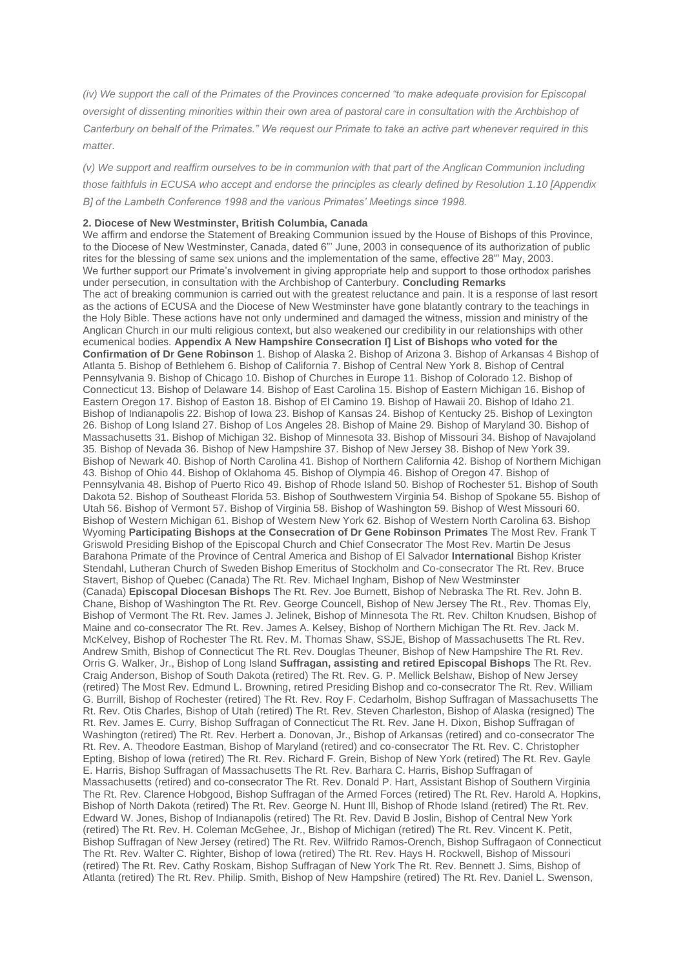*(iv) We support the call of the Primates of the Provinces concerned "to make adequate provision for Episcopal oversight of dissenting minorities within their own area of pastoral care in consultation with the Archbishop of Canterbury on behalf of the Primates." We request our Primate to take an active part whenever required in this matter.*

*(v) We support and reaffirm ourselves to be in communion with that part of the Anglican Communion including those faithfuls in ECUSA who accept and endorse the principles as clearly defined by Resolution 1.10 [Appendix B] of the Lambeth Conference 1998 and the various Primates' Meetings since 1998.*

## **2. Diocese of New Westminster, British Columbia, Canada**

We affirm and endorse the Statement of Breaking Communion issued by the House of Bishops of this Province, to the Diocese of New Westminster, Canada, dated 6"' June, 2003 in consequence of its authorization of public rites for the blessing of same sex unions and the implementation of the same, effective 28"' May, 2003. We further support our Primate's involvement in giving appropriate help and support to those orthodox parishes under persecution, in consultation with the Archbishop of Canterbury. **Concluding Remarks** The act of breaking communion is carried out with the greatest reluctance and pain. It is a response of last resort as the actions of ECUSA and the Diocese of New Westminster have gone blatantly contrary to the teachings in the Holy Bible. These actions have not only undermined and damaged the witness, mission and ministry of the Anglican Church in our multi religious context, but also weakened our credibility in our relationships with other ecumenical bodies. **Appendix A New Hampshire Consecration I] List of Bishops who voted for the Confirmation of Dr Gene Robinson** 1. Bishop of Alaska 2. Bishop of Arizona 3. Bishop of Arkansas 4 Bishop of Atlanta 5. Bishop of Bethlehem 6. Bishop of California 7. Bishop of Central New York 8. Bishop of Central Pennsylvania 9. Bishop of Chicago 10. Bishop of Churches in Europe 11. Bishop of Colorado 12. Bishop of Connecticut 13. Bishop of Delaware 14. Bishop of East Carolina 15. Bishop of Eastern Michigan 16. Bishop of Eastern Oregon 17. Bishop of Easton 18. Bishop of El Camino 19. Bishop of Hawaii 20. Bishop of Idaho 21. Bishop of Indianapolis 22. Bishop of Iowa 23. Bishop of Kansas 24. Bishop of Kentucky 25. Bishop of Lexington 26. Bishop of Long Island 27. Bishop of Los Angeles 28. Bishop of Maine 29. Bishop of Maryland 30. Bishop of Massachusetts 31. Bishop of Michigan 32. Bishop of Minnesota 33. Bishop of Missouri 34. Bishop of Navajoland 35. Bishop of Nevada 36. Bishop of New Hampshire 37. Bishop of New Jersey 38. Bishop of New York 39. Bishop of Newark 40. Bishop of North Carolina 41. Bishop of Northern California 42. Bishop of Northern Michigan 43. Bishop of Ohio 44. Bishop of Oklahoma 45. Bishop of Olympia 46. Bishop of Oregon 47. Bishop of Pennsylvania 48. Bishop of Puerto Rico 49. Bishop of Rhode Island 50. Bishop of Rochester 51. Bishop of South Dakota 52. Bishop of Southeast Florida 53. Bishop of Southwestern Virginia 54. Bishop of Spokane 55. Bishop of Utah 56. Bishop of Vermont 57. Bishop of Virginia 58. Bishop of Washington 59. Bishop of West Missouri 60. Bishop of Western Michigan 61. Bishop of Western New York 62. Bishop of Western North Carolina 63. Bishop Wyoming **Participating Bishops at the Consecration of Dr Gene Robinson Primates** The Most Rev. Frank T Griswold Presiding Bishop of the Episcopal Church and Chief Consecrator The Most Rev. Martin De Jesus Barahona Primate of the Province of Central America and Bishop of El Salvador **International** Bishop Krister Stendahl, Lutheran Church of Sweden Bishop Emeritus of Stockholm and Co-consecrator The Rt. Rev. Bruce Stavert, Bishop of Quebec (Canada) The Rt. Rev. Michael Ingham, Bishop of New Westminster (Canada) **Episcopal Diocesan Bishops** The Rt. Rev. Joe Burnett, Bishop of Nebraska The Rt. Rev. John B. Chane, Bishop of Washington The Rt. Rev. George Councell, Bishop of New Jersey The Rt., Rev. Thomas Ely, Bishop of Vermont The Rt. Rev. James J. Jelinek, Bishop of Minnesota The Rt. Rev. Chilton Knudsen, Bishop of Maine and co-consecrator The Rt. Rev. James A. Kelsey, Bishop of Northern Michigan The Rt. Rev. Jack M. McKelvey, Bishop of Rochester The Rt. Rev. M. Thomas Shaw, SSJE, Bishop of Massachusetts The Rt. Rev. Andrew Smith, Bishop of Connecticut The Rt. Rev. Douglas Theuner, Bishop of New Hampshire The Rt. Rev. Orris G. Walker, Jr., Bishop of Long Island **Suffragan, assisting and retired Episcopal Bishops** The Rt. Rev. Craig Anderson, Bishop of South Dakota (retired) The Rt. Rev. G. P. Mellick Belshaw, Bishop of New Jersey (retired) The Most Rev. Edmund L. Browning, retired Presiding Bishop and co-consecrator The Rt. Rev. William G. Burrill, Bishop of Rochester (retired) The Rt. Rev. Roy F. Cedarholm, Bishop Suffragan of Massachusetts The Rt. Rev. Otis Charles, Bishop of Utah (retired) The Rt. Rev. Steven Charleston, Bishop of Alaska (resigned) The Rt. Rev. James E. Curry, Bishop Suffragan of Connecticut The Rt. Rev. Jane H. Dixon, Bishop Suffragan of Washington (retired) The Rt. Rev. Herbert a. Donovan, Jr., Bishop of Arkansas (retired) and co-consecrator The Rt. Rev. A. Theodore Eastman, Bishop of Maryland (retired) and co-consecrator The Rt. Rev. C. Christopher Epting, Bishop of lowa (retired) The Rt. Rev. Richard F. Grein, Bishop of New York (retired) The Rt. Rev. Gayle E. Harris, Bishop Suffragan of Massachusetts The Rt. Rev. Barhara C. Harris, Bishop Suffragan of Massachusetts (retired) and co-consecrator The Rt. Rev. Donald P. Hart, Assistant Bishop of Southern Virginia The Rt. Rev. Clarence Hobgood, Bishop Suffragan of the Armed Forces (retired) The Rt. Rev. Harold A. Hopkins, Bishop of North Dakota (retired) The Rt. Rev. George N. Hunt Ill, Bishop of Rhode Island (retired) The Rt. Rev. Edward W. Jones, Bishop of Indianapolis (retired) The Rt. Rev. David B Joslin, Bishop of Central New York (retired) The Rt. Rev. H. Coleman McGehee, Jr., Bishop of Michigan (retired) The Rt. Rev. Vincent K. Petit, Bishop Suffragan of New Jersey (retired) The Rt. Rev. Wilfrido Ramos-Orench, Bishop Suffragaon of Connecticut The Rt. Rev. Walter C. Righter, Bishop of lowa (retired) The Rt. Rev. Hays H. Rockwell, Bishop of Missouri (retired) The Rt. Rev. Cathy Roskam, Bishop Suffragan of New York The Rt. Rev. Bennett J. Sims, Bishop of Atlanta (retired) The Rt. Rev. Philip. Smith, Bishop of New Hampshire (retired) The Rt. Rev. Daniel L. Swenson,